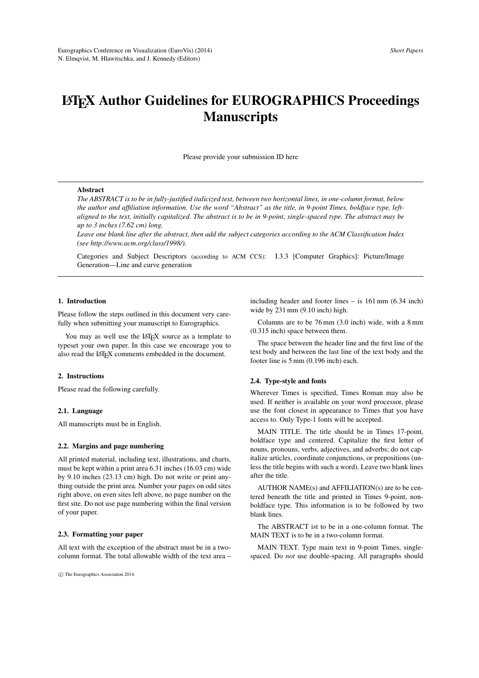# LATEX Author Guidelines for EUROGRAPHICS Proceedings **Manuscripts**

Please provide your submission ID here

## Abstract

*The ABSTRACT is to be in fully-justified italicized text, between two horizontal lines, in one-column format, below the author and affiliation information. Use the word "Abstract" as the title, in 9-point Times, boldface type, leftaligned to the text, initially capitalized. The abstract is to be in 9-point, single-spaced type. The abstract may be up to 3 inches (7.62 cm) long.*

*Leave one blank line after the abstract, then add the subject categories according to the ACM Classification Index (see http://www.acm.org/class/1998/).*

Categories and Subject Descriptors (according to ACM CCS): I.3.3 [Computer Graphics]: Picture/Image Generation—Line and curve generation

## 1. Introduction

Please follow the steps outlined in this document very carefully when submitting your manuscript to Eurographics.

You may as well use the LAT<sub>EX</sub> source as a template to typeset your own paper. In this case we encourage you to also read the LATEX comments embedded in the document.

#### 2. Instructions

Please read the following carefully.

#### 2.1. Language

All manuscripts must be in English.

## 2.2. Margins and page numbering

All printed material, including text, illustrations, and charts, must be kept within a print area 6.31 inches (16.03 cm) wide by 9.10 inches (23.13 cm) high. Do not write or print anything outside the print area. Number your pages on odd sites right above, on even sites left above, no page number on the first site. Do not use page numbering within the final version of your paper.

#### 2.3. Formatting your paper

All text with the exception of the abstract must be in a twocolumn format. The total allowable width of the text area –

c The Eurographics Association 2014.

including header and footer lines – is 161 mm (6.34 inch) wide by 231 mm (9.10 inch) high.

Columns are to be 76 mm (3.0 inch) wide, with a 8 mm (0.315 inch) space between them.

The space between the header line and the first line of the text body and between the last line of the text body and the footer line is 5 mm (0.196 inch) each.

#### 2.4. Type-style and fonts

Wherever Times is specified, Times Roman may also be used. If neither is available on your word processor, please use the font closest in appearance to Times that you have access to. Only Type-1 fonts will be accepted.

MAIN TITLE. The title should be in Times 17-point, boldface type and centered. Capitalize the first letter of nouns, pronouns, verbs, adjectives, and adverbs; do not capitalize articles, coordinate conjunctions, or prepositions (unless the title begins with such a word). Leave two blank lines after the title.

AUTHOR NAME(s) and AFFILIATION(s) are to be centered beneath the title and printed in Times 9-point, nonboldface type. This information is to be followed by two blank lines.

The ABSTRACT ist to be in a one-column format. The MAIN TEXT is to be in a two-column format.

MAIN TEXT. Type main text in 9-point Times, singlespaced. Do *not* use double-spacing. All paragraphs should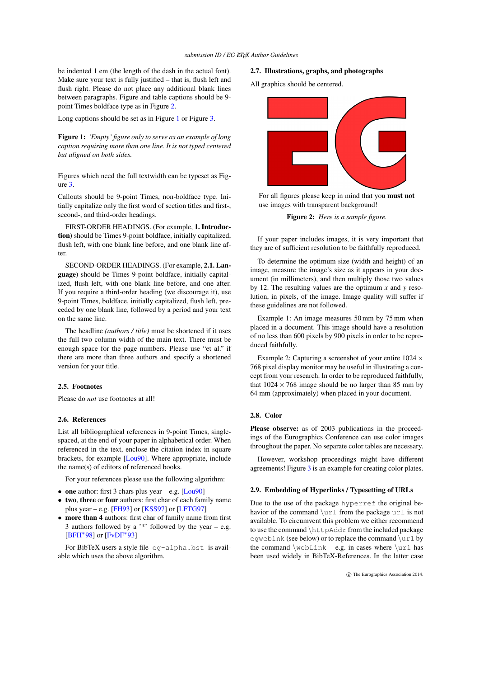<span id="page-1-2"></span>be indented 1 em (the length of the dash in the actual font). Make sure your text is fully justified – that is, flush left and flush right. Please do not place any additional blank lines between paragraphs. Figure and table captions should be 9 point Times boldface type as in Figure [2.](#page-1-0)

Long captions should be set as in Figure [1](#page-1-1) or Figure [3.](#page-4-0)

<span id="page-1-1"></span>Figure 1: *'Empty' figure only to serve as an example of long caption requiring more than one line. It is not typed centered but aligned on both sides.*

Figures which need the full textwidth can be typeset as Figure [3.](#page-4-0)

Callouts should be 9-point Times, non-boldface type. Initially capitalize only the first word of section titles and first-, second-, and third-order headings.

FIRST-ORDER HEADINGS. (For example, 1. Introduction) should be Times 9-point boldface, initially capitalized, flush left, with one blank line before, and one blank line after.

SECOND-ORDER HEADINGS. (For example, 2.1. Language) should be Times 9-point boldface, initially capitalized, flush left, with one blank line before, and one after. If you require a third-order heading (we discourage it), use 9-point Times, boldface, initially capitalized, flush left, preceded by one blank line, followed by a period and your text on the same line.

The headline *(authors / title)* must be shortened if it uses the full two column width of the main text. There must be enough space for the page numbers. Please use "et al." if there are more than three authors and specify a shortened version for your title.

# 2.5. Footnotes

Please do *not* use footnotes at all!

## 2.6. References

List all bibliographical references in 9-point Times, singlespaced, at the end of your paper in alphabetical order. When referenced in the text, enclose the citation index in square brackets, for example [\[Lou90\]](#page-3-0). Where appropriate, include the name(s) of editors of referenced books.

For your references please use the following algorithm:

- one author: first 3 chars plus year e.g. [\[Lou90\]](#page-3-0)
- two, three or four authors: first char of each family name plus year – e.g. [\[FH93\]](#page-3-1) or  $[KSS97]$  or [\[LFTG97\]](#page-3-3)
- more than 4 authors: first char of family name from first 3 authors followed by a  $'$ \*' followed by the year – e.g.  $[BFH^*98]$  $[BFH^*98]$  or  $[FvDF^*93]$  $[FvDF^*93]$

For BibTeX users a style file eg-alpha.bst is available which uses the above algorithm.

#### 2.7. Illustrations, graphs, and photographs

All graphics should be centered.



For all figures please keep in mind that you must not use images with transparent background!

<span id="page-1-0"></span>Figure 2: *Here is a sample figure.*

If your paper includes images, it is very important that they are of sufficient resolution to be faithfully reproduced.

To determine the optimum size (width and height) of an image, measure the image's size as it appears in your document (in millimeters), and then multiply those two values by 12. The resulting values are the optimum *x* and *y* resolution, in pixels, of the image. Image quality will suffer if these guidelines are not followed.

Example 1: An image measures 50 mm by 75 mm when placed in a document. This image should have a resolution of no less than 600 pixels by 900 pixels in order to be reproduced faithfully.

Example 2: Capturing a screenshot of your entire  $1024 \times$ 768 pixel display monitor may be useful in illustrating a concept from your research. In order to be reproduced faithfully, that  $1024 \times 768$  image should be no larger than 85 mm by 64 mm (approximately) when placed in your document.

#### 2.8. Color

Please observe: as of 2003 publications in the proceedings of the Eurographics Conference can use color images throughout the paper. No separate color tables are necessary.

However, workshop proceedings might have different agreements! Figure [3](#page-4-0) is an example for creating color plates.

#### 2.9. Embedding of Hyperlinks / Typesetting of URLs

Due to the use of the package hyperref the original behavior of the command  $\url$  from the package url is not available. To circumvent this problem we either recommend to use the command \httpAddr from the included package eqweblnk (see below) or to replace the command \url by the command  $\wedge$   $\vee$   $\vee$   $\vee$   $\vee$   $\vee$   $\vee$   $\vee$   $\vee$   $\vee$   $\vee$   $\vee$   $\vee$   $\vee$   $\vee$   $\vee$   $\vee$   $\vee$   $\vee$   $\vee$   $\vee$   $\vee$   $\vee$   $\vee$   $\vee$   $\vee$   $\vee$   $\vee$   $\vee$   $\vee$   $\vee$   $\vee$   $\vee$   $\vee$   $\vee$ been used widely in BibTeX-References. In the latter case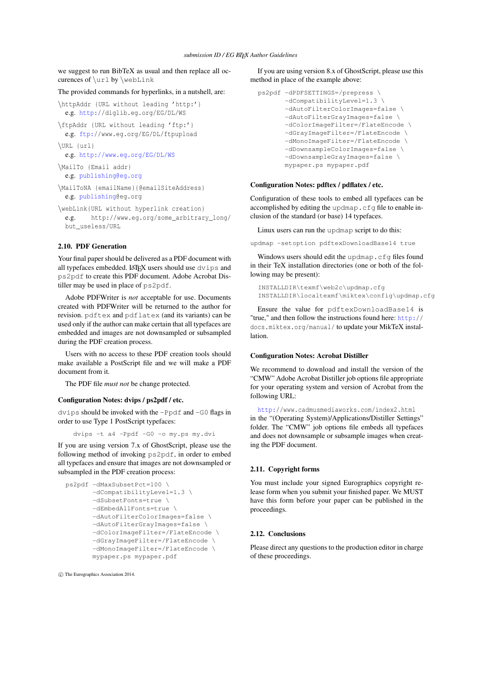we suggest to run BibTeX as usual and then replace all occurences of \url by \webLink

The provided commands for hyperlinks, in a nutshell, are:

```
\httpAddr {URL without leading 'http:'}
 e.g. http://diglib.eg.org/EG/DL/WS
```

```
\ftpAddr {URL without leading 'ftp:'}
 e.g. ftp://www.eg.org/EG/DL/ftpupload
```
\URL {url}

```
e.g. http://www.eg.org/EG/DL/WS
```

```
\MailTo {Email addr}
 e.g. publishing@eg.org
```
\MailToNA {emailName}{@emailSiteAddress} e.g. [publishing@](mailto:publishing@eg.org)eg.org

\webLink{URL without hyperlink creation} e.g. http://www.eg.org/some\_arbitrary\_long/ but\_useless/URL

# 2.10. PDF Generation

Your final paper should be delivered as a PDF document with all typefaces embedded. LATEX users should use dvips and ps2pdf to create this PDF document. Adobe Acrobat Distiller may be used in place of ps2pdf.

Adobe PDFWriter is *not* acceptable for use. Documents created with PDFWriter will be returned to the author for revision. pdftex and pdflatex (and its variants) can be used only if the author can make certain that all typefaces are embedded and images are not downsampled or subsampled during the PDF creation process.

Users with no access to these PDF creation tools should make available a PostScript file and we will make a PDF document from it.

The PDF file *must not* be change protected.

# Configuration Notes: dvips / ps2pdf / etc.

dvips should be invoked with the -Ppdf and -G0 flags in order to use Type 1 PostScript typefaces:

dvips -t a4 -Ppdf -G0 -o my.ps my.dvi

If you are using version 7.x of GhostScript, please use the following method of invoking ps2pdf, in order to embed all typefaces and ensure that images are not downsampled or subsampled in the PDF creation process:

```
ps2pdf -dMaxSubsetPct=100 \
       -dCompatibilityLevel=1.3 \
       -dSubsetFonts=true \
       -dEmbedAllFonts=true \
       -dAutoFilterColorImages=false \
       -dAutoFilterGrayImages=false \
       -dColorImageFilter=/FlateEncode \
       -dGrayImageFilter=/FlateEncode \
       -dMonoImageFilter=/FlateEncode \
      mypaper.ps mypaper.pdf
```
c The Eurographics Association 2014.

If you are using version 8.x of GhostScript, please use this method in place of the example above:

```
ps2pdf -dPDFSETTINGS=/prepress \
       -dCompatibilityLevel=1.3 \
       -dAutoFilterColorImages=false \
       -dAutoFilterGrayImages=false \
       -dColorImageFilter=/FlateEncode \
       -dGrayImageFilter=/FlateEncode \
       -dMonoImageFilter=/FlateEncode \
       -dDownsampleColorImages=false \
       -dDownsampleGrayImages=false \
       mypaper.ps mypaper.pdf
```
## Configuration Notes: pdftex / pdflatex / etc.

Configuration of these tools to embed all typefaces can be accomplished by editing the updmap.cfg file to enable inclusion of the standard (or base) 14 typefaces.

Linux users can run the updmap script to do this:

updmap -setoption pdftexDownloadBase14 true

Windows users should edit the updmap.cfq files found in their TeX installation directories (one or both of the following may be present):

```
INSTALLDIR\texmf\web2c\updmap.cfg
INSTALLDIR\localtexmf\miktex\config\updmap.cfg
```
Ensure the value for pdftexDownloadBase14 is "true," and then follow the instructions found here: [http:/](http://docs.miktex.org/manual/)/ docs.miktex.org/manual/ to update your MikTeX installation.

#### Configuration Notes: Acrobat Distiller

We recommend to download and install the version of the "CMW" Adobe Acrobat Distiller job options file appropriate for your operating system and version of Acrobat from the following URL:

```
http://www.cadmusmediaworks.com/index2.html
in the "(Operating System)/Applications/Distiller Settings"
folder. The "CMW" job options file embeds all typefaces
and does not downsample or subsample images when creat-
ing the PDF document.
```
#### 2.11. Copyright forms

You must include your signed Eurographics copyright release form when you submit your finished paper. We MUST have this form before your paper can be published in the proceedings.

#### 2.12. Conclusions

Please direct any questions to the production editor in charge of these proceedings.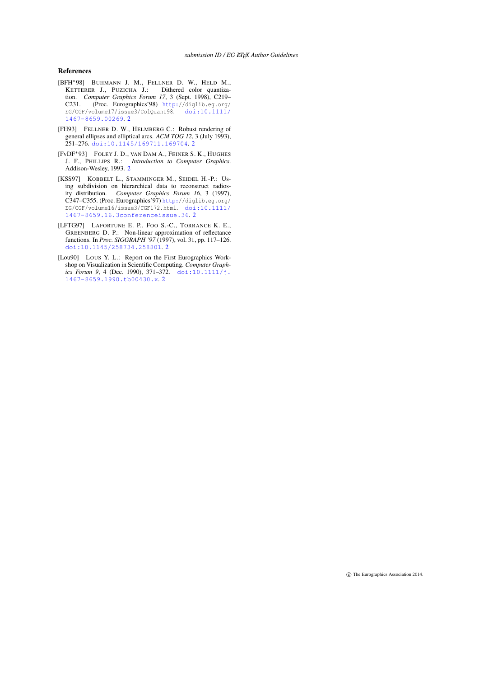#### References

- <span id="page-3-4"></span>[BFH∗98] BUHMANN J. M., FELLNER D. W., HELD M., KETTERER J., PUZICHA J.: Dithered color quantization. *Computer Graphics Forum 17*, 3 (Sept. 1998), C219– C231. (Proc. Eurographics'98) [http:/](http://diglib.eg.org/EG/CGF/volume17/issue3/ColQuant98)/diglib.eg.org/ EG/CGF/volume17/issue3/ColQuant98. [doi:10.1111/](http://dx.doi.org/10.1111/1467-8659.00269) [1467-8659.00269](http://dx.doi.org/10.1111/1467-8659.00269). [2](#page-1-2)
- <span id="page-3-1"></span>[FH93] FELLNER D. W., HELMBERG C.: Robust rendering of general ellipses and elliptical arcs. *ACM TOG 12*, 3 (July 1993), 251–276. [doi:10.1145/169711.169704](http://dx.doi.org/10.1145/169711.169704). [2](#page-1-2)
- <span id="page-3-5"></span>[FvDF∗93] FOLEY J. D., VAN DAM A., FEINER S. K., HUGHES J. F., PHILLIPS R.: *Introduction to Computer Graphics*. Addison-Wesley, 1993. [2](#page-1-2)
- <span id="page-3-2"></span>[KSS97] KOBBELT L., STAMMINGER M., SEIDEL H.-P.: Using subdivision on hierarchical data to reconstruct radiosity distribution. *Computer Graphics Forum 16*, 3 (1997), C347–C355. (Proc. Eurographics'97) [http:/](http://diglib.eg.org/EG/CGF/volume16/issue3/CGF172.html)/diglib.eg.org/ EG/CGF/volume16/issue3/CGF172.html. [doi:10.1111/](http://dx.doi.org/10.1111/1467-8659.16.3conferenceissue.36) [1467-8659.16.3conferenceissue.36](http://dx.doi.org/10.1111/1467-8659.16.3conferenceissue.36). [2](#page-1-2)
- <span id="page-3-3"></span>[LFTG97] LAFORTUNE E. P., FOO S.-C., TORRANCE K. E., GREENBERG D. P.: Non-linear approximation of reflectance functions. In *Proc. SIGGRAPH '97* (1997), vol. 31, pp. 117–126. [doi:10.1145/258734.258801](http://dx.doi.org/10.1145/258734.258801). [2](#page-1-2)
- <span id="page-3-0"></span>[Lou90] LOUS Y. L.: Report on the First Eurographics Workshop on Visualization in Scientific Computing. *Computer Graphics Forum 9, 4 (Dec. 1990), 371-372.* [doi:10.1111/j.](http://dx.doi.org/10.1111/j.1467-8659.1990.tb00430.x) [1467-8659.1990.tb00430.x](http://dx.doi.org/10.1111/j.1467-8659.1990.tb00430.x). [2](#page-1-2)